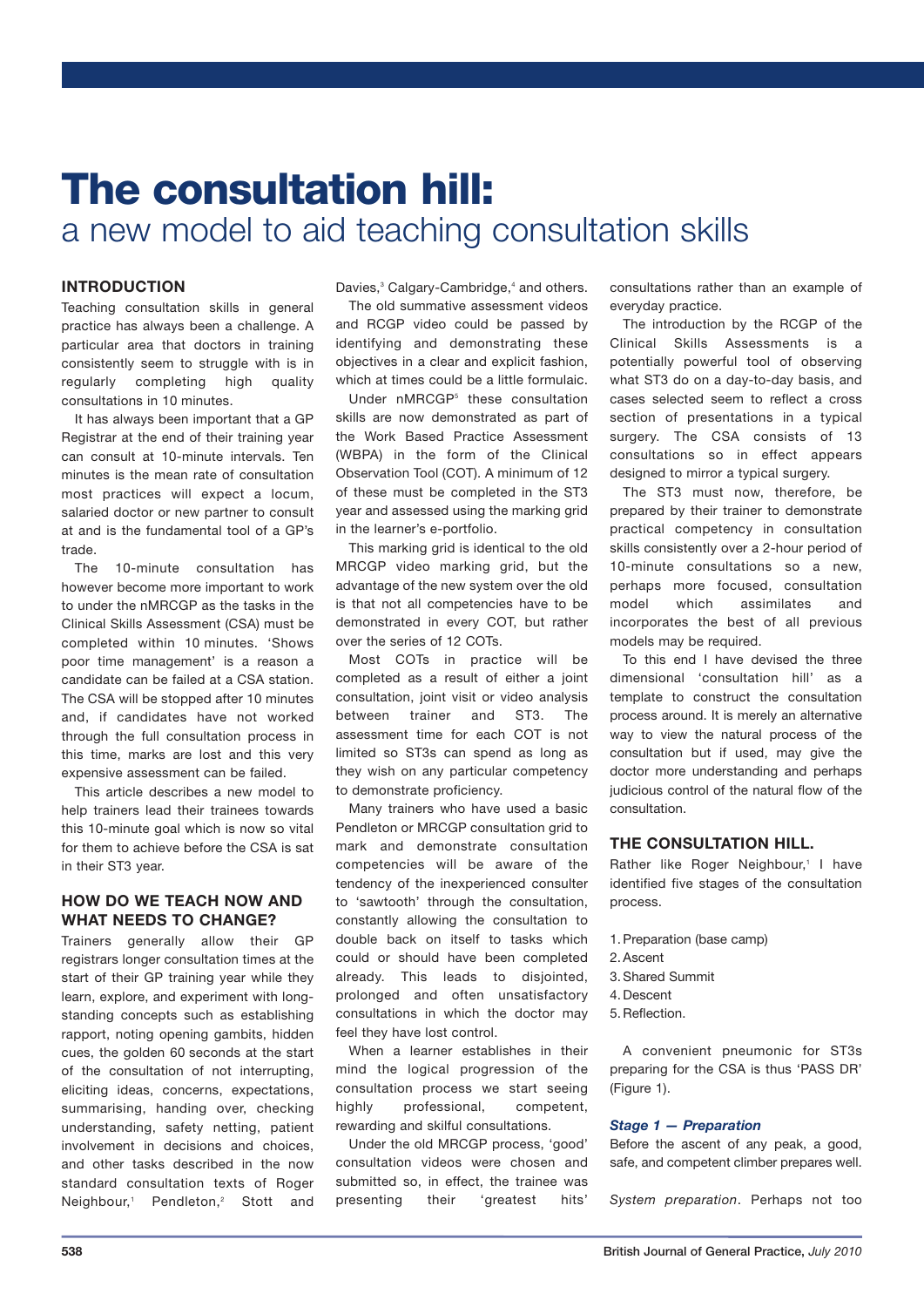# **The consultation hill:** a new model to aid teaching consultation skills

# **INTRODUCTION**

Teaching consultation skills in general practice has always been a challenge. A particular area that doctors in training consistently seem to struggle with is in regularly completing high quality consultations in 10 minutes.

It has always been important that a GP Registrar at the end of their training year can consult at 10-minute intervals. Ten minutes is the mean rate of consultation most practices will expect a locum, salaried doctor or new partner to consult at and is the fundamental tool of a GP's trade.

The 10-minute consultation has however become more important to work to under the nMRCGP as the tasks in the Clinical Skills Assessment (CSA) must be completed within 10 minutes. 'Shows poor time management' is a reason a candidate can be failed at a CSA station. The CSA will be stopped after 10 minutes and, if candidates have not worked through the full consultation process in this time, marks are lost and this very expensive assessment can be failed.

This article describes a new model to help trainers lead their trainees towards this 10-minute goal which is now so vital for them to achieve before the CSA is sat in their ST3 year.

# **HOW DO WE TEACH NOW AND WHAT NEEDS TO CHANGE?**

Trainers generally allow their GP registrars longer consultation times at the start of their GP training year while they learn, explore, and experiment with longstanding concepts such as establishing rapport, noting opening gambits, hidden cues, the golden 60 seconds at the start of the consultation of not interrupting, eliciting ideas, concerns, expectations, summarising, handing over, checking understanding, safety netting, patient involvement in decisions and choices, and other tasks described in the now standard consultation texts of Roger Neighbour, <sup>1</sup> Pendleton, <sup>2</sup> Stott and

Davies, <sup>3</sup> Calgary-Cambridge, <sup>4</sup> and others.

The old summative assessment videos and RCGP video could be passed by identifying and demonstrating these objectives in a clear and explicit fashion, which at times could be a little formulaic.

Under nMRCGP5 these consultation skills are now demonstrated as part of the Work Based Practice Assessment (WBPA) in the form of the Clinical Observation Tool (COT). A minimum of 12 of these must be completed in the ST3 year and assessed using the marking grid in the learner's e-portfolio.

This marking grid is identical to the old MRCGP video marking grid, but the advantage of the new system over the old is that not all competencies have to be demonstrated in every COT, but rather over the series of 12 COTs.

Most COTs in practice will be completed as a result of either a joint consultation, joint visit or video analysis between trainer and ST3. The assessment time for each COT is not limited so ST3s can spend as long as they wish on any particular competency to demonstrate proficiency.

Many trainers who have used a basic Pendleton or MRCGP consultation grid to mark and demonstrate consultation competencies will be aware of the tendency of the inexperienced consulter to 'sawtooth' through the consultation, constantly allowing the consultation to double back on itself to tasks which could or should have been completed already. This leads to disjointed, prolonged and often unsatisfactory consultations in which the doctor may feel they have lost control.

When a learner establishes in their mind the logical progression of the consultation process we start seeing highly professional, competent, rewarding and skilful consultations.

Under the old MRCGP process, 'good' consultation videos were chosen and submitted so, in effect, the trainee was presenting their 'greatest hits'

consultations rather than an example of everyday practice.

The introduction by the RCGP of the Clinical Skills Assessments is a potentially powerful tool of observing what ST3 do on a day-to-day basis, and cases selected seem to reflect a cross section of presentations in a typical surgery. The CSA consists of 13 consultations so in effect appears designed to mirror a typical surgery.

The ST3 must now, therefore, be prepared by their trainer to demonstrate practical competency in consultation skills consistently over a 2-hour period of 10-minute consultations so a new, perhaps more focused, consultation model which assimilates and incorporates the best of all previous models may be required.

To this end I have devised the three dimensional 'consultation hill' as a template to construct the consultation process around. It is merely an alternative way to view the natural process of the consultation but if used, may give the doctor more understanding and perhaps judicious control of the natural flow of the consultation.

## **THE CONSULTATION HILL.**

Rather like Roger Neighbour, <sup>1</sup> I have identified five stages of the consultation process.

- 1. Preparation (base camp)
- 2. Ascent
- 3. Shared Summit
- 4. Descent
- 5.Reflection.

A convenient pneumonic for ST3s preparing for the CSA is thus 'PASS DR' (Figure 1).

# *Stage 1 — Preparation*

Before the ascent of any peak, a good, safe, and competent climber prepares well.

*System preparation*. Perhaps not too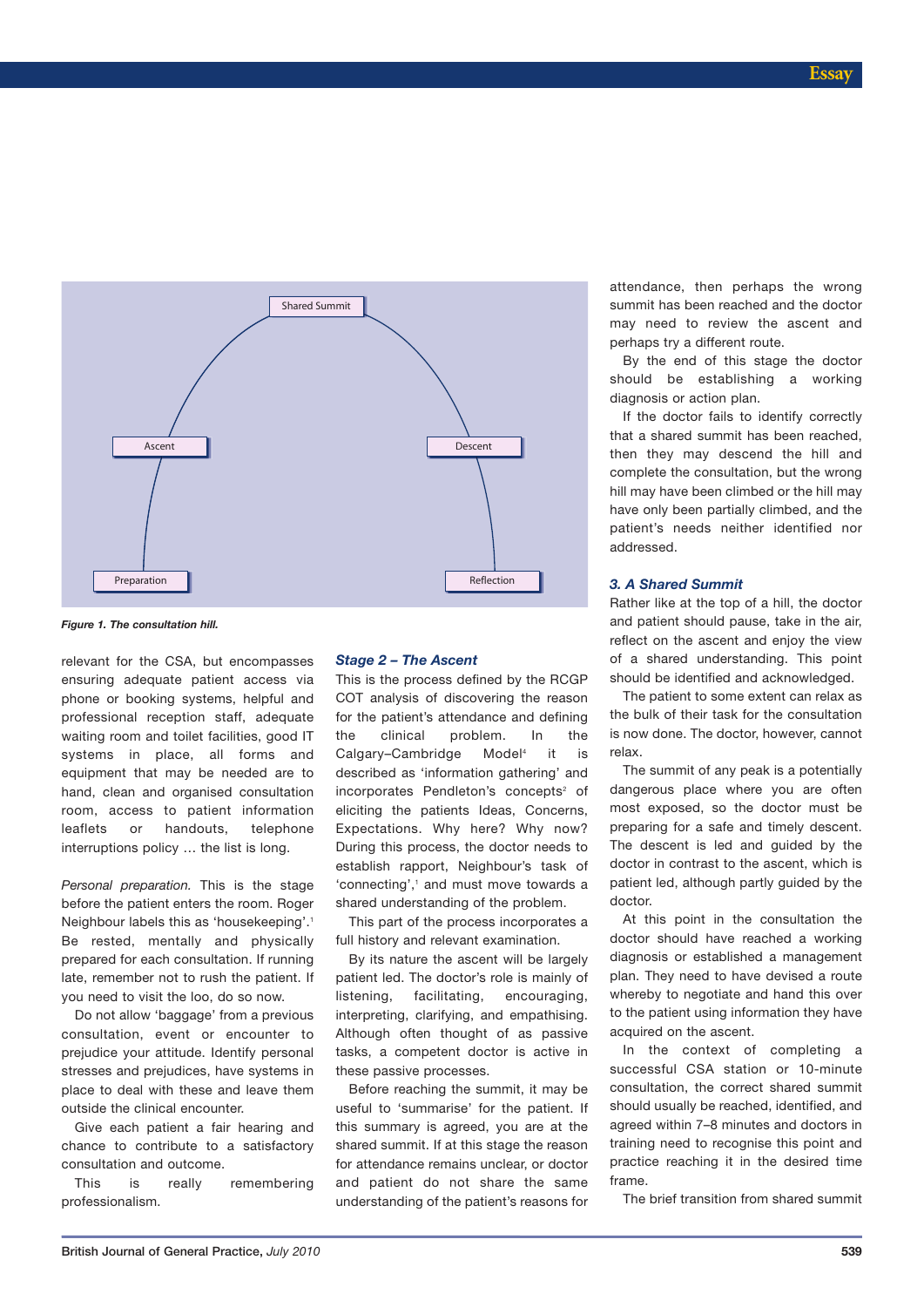

*Figure 1. The consultation hill.*

relevant for the CSA, but encompasses ensuring adequate patient access via phone or booking systems, helpful and professional reception staff, adequate waiting room and toilet facilities, good IT systems in place, all forms and equipment that may be needed are to hand, clean and organised consultation room, access to patient information leaflets or handouts, telephone interruptions policy … the list is long.

*Personal preparation.* This is the stage before the patient enters the room. Roger Neighbour labels this as 'housekeeping'. 1 Be rested, mentally and physically prepared for each consultation. If running late, remember not to rush the patient. If you need to visit the loo, do so now.

Do not allow 'baggage' from a previous consultation, event or encounter to prejudice your attitude. Identify personal stresses and prejudices, have systems in place to deal with these and leave them outside the clinical encounter.

Give each patient a fair hearing and chance to contribute to a satisfactory consultation and outcome.

This is really remembering professionalism.

#### *Stage 2 – The Ascent*

This is the process defined by the RCGP COT analysis of discovering the reason for the patient's attendance and defining the clinical problem. In the Calgary–Cambridge Model it is described as 'information gathering' and incorporates Pendleton's concepts<sup>2</sup> of eliciting the patients Ideas, Concerns, Expectations. Why here? Why now? During this process, the doctor needs to establish rapport, Neighbour's task of 'connecting', <sup>1</sup> and must move towards a shared understanding of the problem.

This part of the process incorporates a full history and relevant examination.

By its nature the ascent will be largely patient led. The doctor's role is mainly of listening, facilitating, encouraging, interpreting, clarifying, and empathising. Although often thought of as passive tasks, a competent doctor is active in these passive processes.

Before reaching the summit, it may be useful to 'summarise' for the patient. If this summary is agreed, you are at the shared summit. If at this stage the reason for attendance remains unclear, or doctor and patient do not share the same understanding of the patient's reasons for

attendance, then perhaps the wrong summit has been reached and the doctor may need to review the ascent and perhaps try a different route.

By the end of this stage the doctor should be establishing a working diagnosis or action plan.

If the doctor fails to identify correctly that a shared summit has been reached, then they may descend the hill and complete the consultation, but the wrong hill may have been climbed or the hill may have only been partially climbed, and the patient's needs neither identified nor addressed.

## *3. A Shared Summit*

Rather like at the top of a hill, the doctor and patient should pause, take in the air, reflect on the ascent and enjoy the view of a shared understanding. This point should be identified and acknowledged.

The patient to some extent can relax as the bulk of their task for the consultation is now done. The doctor, however, cannot relax.

The summit of any peak is a potentially dangerous place where you are often most exposed, so the doctor must be preparing for a safe and timely descent. The descent is led and guided by the doctor in contrast to the ascent, which is patient led, although partly guided by the doctor.

At this point in the consultation the doctor should have reached a working diagnosis or established a management plan. They need to have devised a route whereby to negotiate and hand this over to the patient using information they have acquired on the ascent.

In the context of completing a successful CSA station or 10-minute consultation, the correct shared summit should usually be reached, identified, and agreed within 7–8 minutes and doctors in training need to recognise this point and practice reaching it in the desired time frame.

The brief transition from shared summit